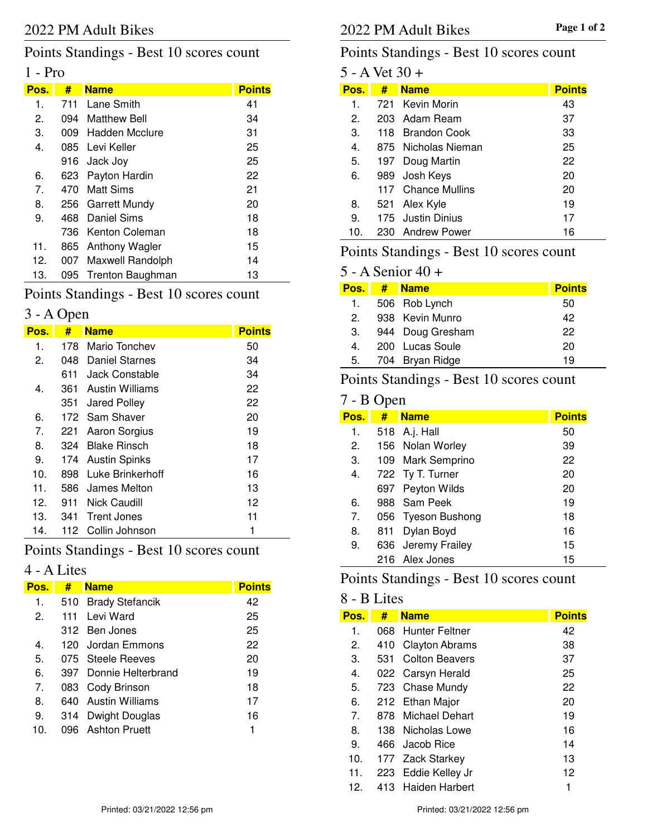# Points Standings - Best 10 scores count

## 1 - Pro

| Pos.           | #    | <b>Name</b>        | <b>Points</b> |
|----------------|------|--------------------|---------------|
| 1.             |      | 711 Lane Smith     | 41            |
| 2.             | 094  | Matthew Bell       | 34            |
| З.             |      | 009 Hadden Mcclure | 31            |
| 4.             |      | 085 Levi Keller    | 25            |
|                |      | 916 Jack Joy       | 25            |
| 6.             | 623  | Payton Hardin      | 22            |
| 7 <sub>1</sub> | 470. | Matt Sims          | 21            |
| 8.             |      | 256 Garrett Mundy  | 20            |
| 9.             | 468  | Daniel Sims        | 18            |
|                | 736. | Kenton Coleman     | 18            |
| 11.            | 865  | Anthony Wagler     | 15            |
| 12.            | 007  | Maxwell Randolph   | 14            |
| 13.            | 095  | Trenton Baughman   | 13            |

# Points Standings - Best 10 scores count

## 3 - A Open

| Pos. | #    | <b>Name</b>          | <b>Points</b> |
|------|------|----------------------|---------------|
| 1.   | 178  | Mario Tonchev        | 50            |
| 2.   | 048  | Daniel Starnes       | 34            |
|      | 611  | Jack Constable       | 34            |
| 4.   | 361  | Austin Williams      | 22            |
|      | 351  | Jared Polley         | 22            |
| 6.   |      | 172 Sam Shaver       | 20            |
| 7.   | 221  | Aaron Sorgius        | 19            |
| 8.   | 324  | <b>Blake Rinsch</b>  | 18            |
| 9.   | 174. | <b>Austin Spinks</b> | 17            |
| 10.  | 898  | Luke Brinkerhoff     | 16            |
| 11.  | 586  | James Melton         | 13            |
| 12.  | 911  | Nick Caudill         | 12            |
| 13.  | 341  | <b>Trent Jones</b>   | 11            |
| 14.  | 112  | Collin Johnson       | 1             |

# Points Standings - Best 10 scores count

#### 4 - A Lites

| Pos.           | #    | <b>Name</b>            | <b>Points</b> |
|----------------|------|------------------------|---------------|
| 1.             |      | 510 Brady Stefancik    | 42            |
| 2.             |      | 111 Levi Ward          | 25            |
|                |      | 312 Ben Jones          | 25            |
| 4.             |      | 120 Jordan Emmons      | 22            |
| 5.             |      | 075 Steele Reeves      | 20            |
| 6.             |      | 397 Donnie Helterbrand | 19            |
| 7 <sub>1</sub> |      | 083 Cody Brinson       | 18            |
| 8.             | 640. | Austin Williams        | 17            |
| 9.             | 314  | Dwight Douglas         | 16            |
| 10.            |      | 096 Ashton Pruett      | 1             |

## Points Standings - Best 10 scores count

| 5 - A Vet 30 + |   |                     |               |  |  |
|----------------|---|---------------------|---------------|--|--|
| Pos.           | # | <b>Name</b>         | <b>Points</b> |  |  |
| 1.             |   | 721 Kevin Morin     | 43            |  |  |
| 2.             |   | 203 Adam Ream       | 37            |  |  |
| 3.             |   | 118 Brandon Cook    | 33            |  |  |
| $4_{\cdot}$    |   | 875 Nicholas Nieman | 25            |  |  |
| 5.             |   | 197 Doug Martin     | 22            |  |  |
| 6.             |   | 989 Josh Keys       | 20            |  |  |
|                |   | 117 Chance Mullins  | 20            |  |  |
| 8.             |   | 521 Alex Kyle       | 19            |  |  |
| 9.             |   | 175 Justin Dinius   | 17            |  |  |
| 10.            |   | 230 Andrew Power    | 16            |  |  |

## Points Standings - Best 10 scores count

## 5 - A Senior 40 +

| Pos. | # | <b>Name</b>      | <b>Points</b> |
|------|---|------------------|---------------|
| 1.   |   | 506 Rob Lynch    | 50            |
| 2    |   | 938 Kevin Munro  | 42            |
| 3.   |   | 944 Doug Gresham | 22            |
| 4.   |   | 200 Lucas Soule  | 20            |
| 5.   |   | 704 Bryan Ridge  | 19            |
|      |   |                  |               |

# Points Standings - Best 10 scores count

### 7 - B Open

| Pos. | #   | <b>Name</b>        | <b>Points</b> |
|------|-----|--------------------|---------------|
| 1.   |     | 518 A.j. Hall      | 50            |
| 2.   |     | 156 Nolan Worley   | 39            |
| 3.   |     | 109 Mark Semprino  | 22            |
| 4.   |     | 722 Ty T. Turner   | 20            |
|      |     | 697 Peyton Wilds   | 20            |
| 6.   |     | 988 Sam Peek       | 19            |
| 7.   |     | 056 Tyeson Bushong | 18            |
| 8.   | 811 | Dylan Boyd         | 16            |
| 9.   |     | 636 Jeremy Frailey | 15            |
|      |     | 216 Alex Jones     | 15            |

# Points Standings - Best 10 scores count

#### 8 - B Lites

| Pos.        | #    | <b>Name</b>           | <b>Points</b> |
|-------------|------|-----------------------|---------------|
| $\mathbf 1$ |      | 068 Hunter Feltner    | 42            |
| 2.          | 410  | <b>Clayton Abrams</b> | 38            |
| 3.          | 531  | <b>Colton Beavers</b> | 37            |
| 4.          |      | 022 Carsyn Herald     | 25            |
| 5.          |      | 723 Chase Mundy       | 22            |
| 6.          |      | 212 Ethan Major       | 20            |
| 7.          | 878. | Michael Dehart        | 19            |
| 8.          |      | 138 Nicholas Lowe     | 16            |
| 9.          |      | 466 Jacob Rice        | 14            |
| 10.         |      | 177 Zack Starkey      | 13            |
| 11.         | 223  | Eddie Kelley Jr       | 12            |
| 12.         | 413. | Haiden Harbert        | 1             |